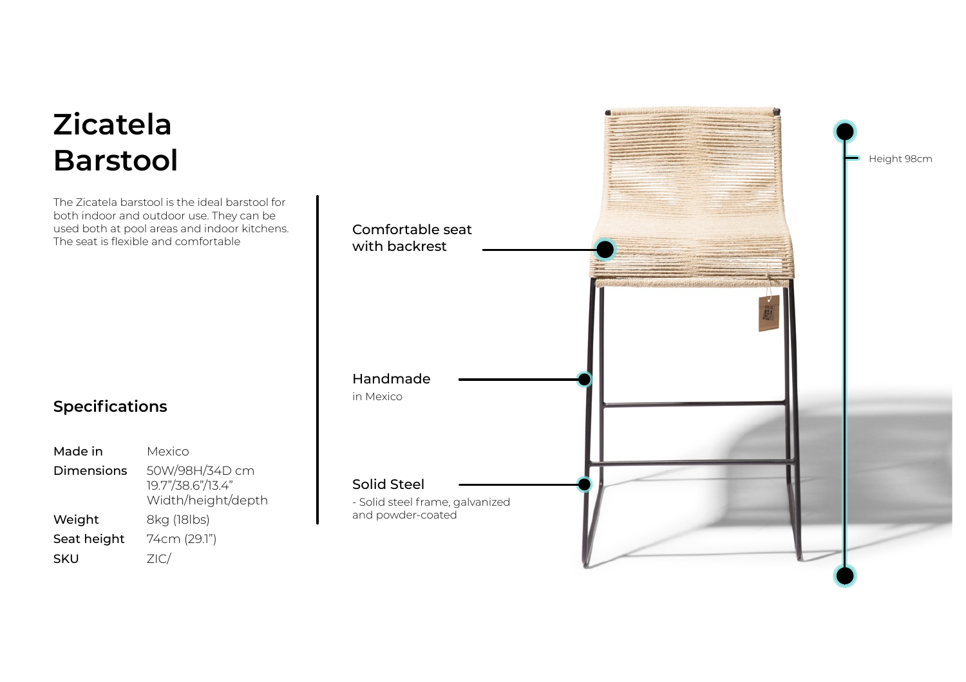## **Zicatela Barstool**

The Zicatela barstool is the ideal barstool for both indoor and outdoor use. They can be used both at pool areas and indoor kitchens. The seat is flexible and comfortable

## **Specifications**

| Made in           | Mexico                                                    |
|-------------------|-----------------------------------------------------------|
| <b>Dimensions</b> | 50W/98H/34D cm<br>19.7"/38.6"/13.4"<br>Width/height/depth |
| Weight            | 8kg (18lbs)                                               |
| Seat height       | 74cm (29.1")                                              |
| SKU               | ZIC/                                                      |